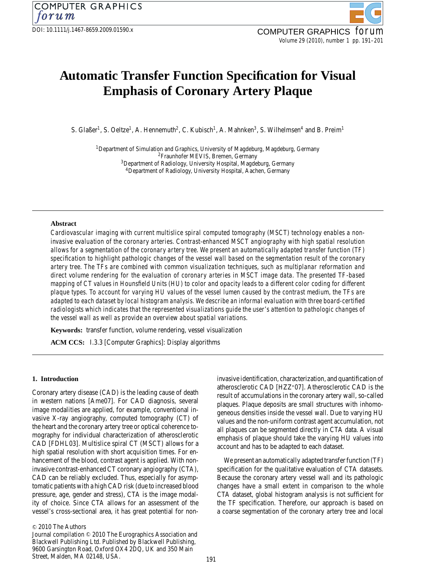

# **Automatic Transfer Function Specification for Visual Emphasis of Coronary Artery Plaque**

S. Glaßer<sup>1</sup>, S. Oeltze<sup>1</sup>, A. Hennemuth<sup>2</sup>, C. Kubisch<sup>1</sup>, A. Mahnken<sup>3</sup>, S. Wilhelmsen<sup>4</sup> and B. Preim<sup>1</sup>

<sup>1</sup>Department of Simulation and Graphics, University of Magdeburg, Magdeburg, Germany 2Fraunhofer MEVIS, Bremen, Germany 3Department of Radiology, University Hospital, Magdeburg, Germany 4Department of Radiology, University Hospital, Aachen, Germany

# **Abstract**

*Cardiovascular imaging with current multislice spiral computed tomography (MSCT) technology enables a noninvasive evaluation of the coronary arteries. Contrast-enhanced MSCT angiography with high spatial resolution allows for a segmentation of the coronary artery tree. We present an automatically adapted transfer function (TF) specification to highlight pathologic changes of the vessel wall based on the segmentation result of the coronary artery tree. The TFs are combined with common visualization techniques, such as multiplanar reformation and direct volume rendering for the evaluation of coronary arteries in MSCT image data. The presented TF-based mapping of CT values in Hounsfield Units (HU) to color and opacity leads to a different color coding for different plaque types. To account for varying HU values of the vessel lumen caused by the contrast medium, the TFs are adapted to each dataset by local histogram analysis. We describe an informal evaluation with three board-certified radiologists which indicates that the represented visualizations guide the user's attention to pathologic changes of the vessel wall as well as provide an overview about spatial variations.*

**Keywords:** transfer function, volume rendering, vessel visualization

**ACM CCS:** I.3.3 [Computer Graphics]: Display algorithms

#### **1. Introduction**

Coronary artery disease (CAD) is the leading cause of death in western nations [Ame07]. For CAD diagnosis, several image modalities are applied, for example, conventional invasive X-ray angiography, computed tomography (CT) of the heart and the coronary artery tree or optical coherence tomography for individual characterization of atherosclerotic CAD [FDHL03]. Multislice spiral CT (MSCT) allows for a high spatial resolution with short acquisition times. For enhancement of the blood, contrast agent is applied. With noninvasive contrast-enhanced CT coronary angiography (CTA), CAD can be reliably excluded. Thus, especially for asymptomatic patients with a high CAD risk (due to increased blood pressure, age, gender and stress), CTA is the image modality of choice. Since CTA allows for an assessment of the vessel's cross-sectional area, it has great potential for non-

 $© 2010$  The Authors

invasive identification, characterization, and quantification of atherosclerotic CAD [HZZ∗07]. Atherosclerotic CAD is the result of accumulations in the coronary artery wall, so-called plaques. Plaque deposits are small structures with inhomogeneous densities inside the vessel wall. Due to varying HU values and the non-uniform contrast agent accumulation, not all plaques can be segmented directly in CTA data. A visual emphasis of plaque should take the varying HU values into account and has to be adapted to each dataset.

We present an automatically adapted transfer function (TF) specification for the qualitative evaluation of CTA datasets. Because the coronary artery vessel wall and its pathologic changes have a small extent in comparison to the whole CTA dataset, global histogram analysis is not sufficient for the TF specification. Therefore, our approach is based on a coarse segmentation of the coronary artery tree and local

Journal compilation  $\odot$  2010 The Eurographics Association and Blackwell Publishing Ltd. Published by Blackwell Publishing, 9600 Garsington Road, Oxford OX4 2DQ, UK and 350 Main Street, Malden, MA 02148, USA. 191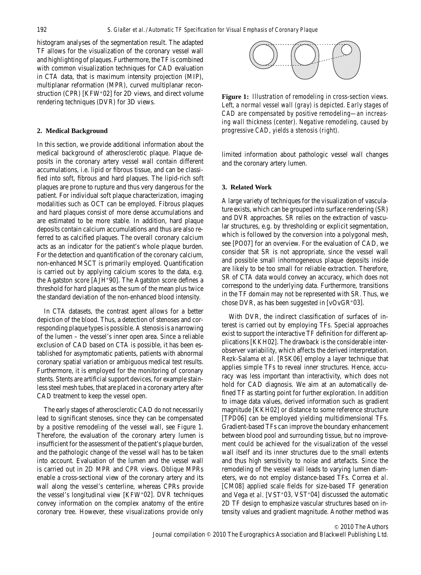histogram analyses of the segmentation result. The adapted TF allows for the visualization of the coronary vessel wall and highlighting of plaques. Furthermore, the TF is combined with common visualization techniques for CAD evaluation in CTA data, that is maximum intensity projection (MIP), multiplanar reformation (MPR), curved multiplanar reconstruction (CPR) [KFW<sup>∗</sup>02] for 2D views, and direct volume rendering techniques (DVR) for 3D views.

#### **2. Medical Background**

In this section, we provide additional information about the medical background of atherosclerotic plaque. Plaque deposits in the coronary artery vessel wall contain different accumulations, i.e. lipid or fibrous tissue, and can be classified into soft, fibrous and hard plaques. The lipid-rich soft plaques are prone to rupture and thus very dangerous for the patient. For individual soft plaque characterization, imaging modalities such as OCT can be employed. Fibrous plaques and hard plaques consist of more dense accumulations and are estimated to be more stable. In addition, hard plaque deposits contain calcium accumulations and thus are also referred to as calcified plaques. The overall coronary calcium acts as an indicator for the patient's whole plaque burden. For the detection and quantification of the coronary calcium, non-enhanced MSCT is primarily employed. Quantification is carried out by applying calcium scores to the data, e.g. the Agatston score [AJH∗90]. The Agatston score defines a threshold for hard plaques as the sum of the mean plus twice the standard deviation of the non-enhanced blood intensity.

In CTA datasets, the contrast agent allows for a better depiction of the blood. Thus, a detection of stenoses and corresponding plaque types is possible. A stenosis is a narrowing of the lumen – the vessel's inner open area. Since a reliable exclusion of CAD based on CTA is possible, it has been established for asymptomatic patients, patients with abnormal coronary spatial variation or ambiguous medical test results. Furthermore, it is employed for the monitoring of coronary stents. Stents are artificial support devices, for example stainless steel mesh tubes, that are placed in a coronary artery after CAD treatment to keep the vessel open.

The early stages of atherosclerotic CAD do not necessarily lead to significant stenoses, since they can be compensated by a positive remodeling of the vessel wall, see Figure 1. Therefore, the evaluation of the coronary artery lumen is insufficient for the assessment of the patient's plaque burden, and the pathologic change of the vessel wall has to be taken into account. Evaluation of the lumen and the vessel wall is carried out in 2D MPR and CPR views. Oblique MPRs enable a cross-sectional view of the coronary artery and its wall along the vessel's centerline, whereas CPRs provide the vessel's longitudinal view [KFW∗02]. DVR techniques convey information on the complex anatomy of the entire coronary tree. However, these visualizations provide only



**Figure 1:** *Illustration of remodeling in cross-section views. Left, a normal vessel wall (gray) is depicted. Early stages of CAD are compensated by positive remodeling—an increasing wall thickness (center). Negative remodeling, caused by progressive CAD, yields a stenosis (right).*

limited information about pathologic vessel wall changes and the coronary artery lumen.

#### **3. Related Work**

A large variety of techniques for the visualization of vasculature exists, which can be grouped into surface rendering (SR) and DVR approaches. SR relies on the extraction of vascular structures, e.g. by thresholding or explicit segmentation, which is followed by the conversion into a polygonal mesh, see [PO07] for an overview. For the evaluation of CAD, we consider that SR is not appropriate, since the vessel wall and possible small inhomogeneous plaque deposits inside are likely to be too small for reliable extraction. Therefore, SR of CTA data would convey an accuracy, which does not correspond to the underlying data. Furthermore, transitions in the TF domain may not be represented with SR. Thus, we chose DVR, as has been suggested in [vOvGR∗03].

With DVR, the indirect classification of surfaces of interest is carried out by employing TFs. Special approaches exist to support the interactive TF definition for different applications [KKH02]. The drawback is the considerable interobserver variability, which affects the derived interpretation. Rezk-Salama *et al.* [RSK06] employ a layer technique that applies simple TFs to reveal inner structures. Hence, accuracy was less important than interactivity, which does not hold for CAD diagnosis. We aim at an automatically defined TF as starting point for further exploration. In addition to image data values, derived information such as gradient magnitude [KKH02] or distance to some reference structure [TPD06] can be employed yielding multidimensional TFs. Gradient-based TFs can improve the boundary enhancement between blood pool and surrounding tissue, but no improvement could be achieved for the visualization of the vessel wall itself and its inner structures due to the small extents and thus high sensitivity to noise and artefacts. Since the remodeling of the vessel wall leads to varying lumen diameters, we do not employ distance-based TFs. Correa *et al.* [CM08] applied scale fields for size-based TF generation and Vega *et al.* [VST∗03, VST∗04] discussed the automatic 2D TF design to emphasize vascular structures based on intensity values and gradient magnitude. Another method was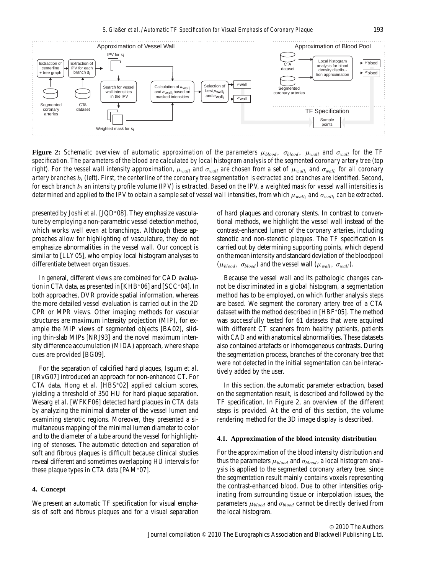

**Figure 2:** *Schematic overview of automatic approximation of the parameters μblood , σblood , μwall and σwall for the TF specification. The parameters of the blood are calculated by local histogram analysis of the segmented coronary artery tree (top right). For the vessel wall intensity approximation, μwall and σwall are chosen from a set of μwalli and σwalli for all coronary artery branches bi (left). First, the centerline of the coronary tree segmentation is extracted and branches are identified. Second, for each branch bi an intensity profile volume (IPV) is extracted. Based on the IPV, a weighted mask for vessel wall intensities is determined and applied to the IPV to obtain a sample set of vessel wall intensities, from which*  $\mu_{wall}$  *and*  $\sigma_{wall}$  *can be extracted.* 

presented by Joshi *et al.* [JQD∗08]. They emphasize vasculature by employing a non-parametric vessel detection method, which works well even at branchings. Although these approaches allow for highlighting of vasculature, they do not emphasize abnormalities in the vessel wall. Our concept is similar to [LLY05], who employ local histogram analyses to differentiate between organ tissues.

In general, different views are combined for CAD evaluation in CTA data, as presented in [KHB∗06] and [SCC∗04]. In both approaches, DVR provide spatial information, whereas the more detailed vessel evaluation is carried out in the 2D CPR or MPR views. Other imaging methods for vascular structures are maximum intensity projection (MIP), for example the MIP views of segmented objects [BA02], sliding thin-slab MIPs [NRJ93] and the novel maximum intensity difference accumulation (MIDA) approach, where shape cues are provided [BG09].

For the separation of calcified hard plaques, Isgum *et al.* [IRvG07] introduced an approach for non-enhanced CT. For CTA data, Hong *et al.* [HBS∗02] applied calcium scores, yielding a threshold of 350 HU for hard plaque separation. Wesarg *et al.* [WFKF06] detected hard plaques in CTA data by analyzing the minimal diameter of the vessel lumen and examining stenotic regions. Moreover, they presented a simultaneous mapping of the minimal lumen diameter to color and to the diameter of a tube around the vessel for highlighting of stenoses. The automatic detection and separation of soft and fibrous plaques is difficult because clinical studies reveal different and sometimes overlapping HU intervals for these plaque types in CTA data [PAM∗07].

# **4. Concept**

We present an automatic TF specification for visual emphasis of soft and fibrous plaques and for a visual separation of hard plaques and coronary stents. In contrast to conventional methods, we highlight the vessel wall instead of the contrast-enhanced lumen of the coronary arteries, including stenotic and non-stenotic plaques. The TF specification is carried out by determining supporting points, which depend on the mean intensity and standard deviation of the bloodpool  $(\mu_{blood}, \sigma_{blood})$  and the vessel wall  $(\mu_{wall}, \sigma_{wall})$ .

Because the vessel wall and its pathologic changes cannot be discriminated in a global histogram, a segmentation method has to be employed, on which further analysis steps are based. We segment the coronary artery tree of a CTA dataset with the method described in [HBF∗05]. The method was successfully tested for 61 datasets that were acquired with different CT scanners from healthy patients, patients with CAD and with anatomical abnormalities. These datasets also contained artefacts or inhomogeneous contrasts. During the segmentation process, branches of the coronary tree that were not detected in the initial segmentation can be interactively added by the user.

In this section, the automatic parameter extraction, based on the segmentation result, is described and followed by the TF specification. In Figure 2, an overview of the different steps is provided. At the end of this section, the volume rendering method for the 3D image display is described.

## **4.1. Approximation of the blood intensity distribution**

For the approximation of the blood intensity distribution and thus the parameters  $\mu_{blood}$  and  $\sigma_{blood}$ , a local histogram analysis is applied to the segmented coronary artery tree, since the segmentation result mainly contains voxels representing the contrast-enhanced blood. Due to other intensities originating from surrounding tissue or interpolation issues, the parameters  $\mu_{blood}$  and  $\sigma_{blood}$  cannot be directly derived from the local histogram.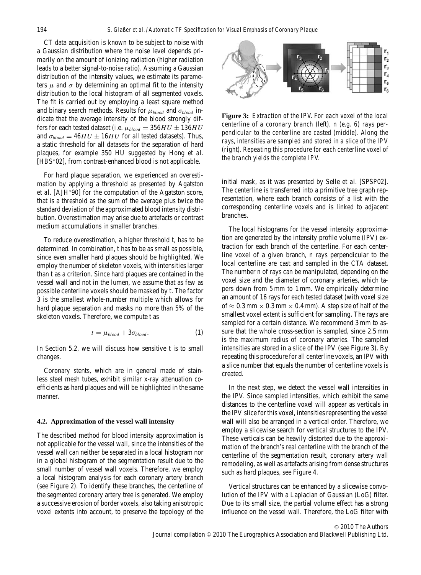CT data acquisition is known to be subject to noise with a Gaussian distribution where the noise level depends primarily on the amount of ionizing radiation (higher radiation leads to a better signal-to-noise ratio). Assuming a Gaussian distribution of the intensity values, we estimate its parameters  $\mu$  and  $\sigma$  by determining an optimal fit to the intensity distribution to the local histogram of all segmented voxels. The fit is carried out by employing a least square method and binary search methods. Results for  $\mu_{blood}$  and  $\sigma_{blood}$  indicate that the average intensity of the blood strongly differs for each tested dataset (i.e.  $\mu_{blood} = 356HU \pm 136HU$ and  $\sigma_{blood} = 46HU \pm 16HU$  for all tested datasets). Thus, a static threshold for all datasets for the separation of hard plaques, for example 350 HU suggested by Hong *et al.* [HBS<sup>\*02]</sup>, from contrast-enhanced blood is not applicable.

For hard plaque separation, we experienced an overestimation by applying a threshold as presented by Agatston *et al.* [AJH<sup>∗</sup>90] for the computation of the Agatston score, that is a threshold as the sum of the average plus twice the standard deviation of the approximated blood intensity distribution. Overestimation may arise due to artefacts or contrast medium accumulations in smaller branches.

To reduce overestimation, a higher threshold *t*, has to be determined. In combination, *t* has to be as small as possible, since even smaller hard plaques should be highlighted. We employ the number of skeleton voxels, with intensities larger than *t* as a criterion. Since hard plaques are contained in the vessel wall and not in the lumen, we assume that as few as possible centerline voxels should be masked by *t*. The factor 3 is the smallest whole-number multiple which allows for hard plaque separation and masks no more than 5% of the skeleton voxels. Therefore, we compute *t* as

$$
t = \mu_{blood} + 3\sigma_{blood}.
$$
 (1)

In Section 5.2, we will discuss how sensitive *t* is to small changes.

Coronary stents, which are in general made of stainless steel mesh tubes, exhibit similar x-ray attenuation coefficients as hard plaques and will be highlighted in the same manner.

#### **4.2. Approximation of the vessel wall intensity**

The described method for blood intensity approximation is not applicable for the vessel wall, since the intensities of the vessel wall can neither be separated in a local histogram nor in a global histogram of the segmentation result due to the small number of vessel wall voxels. Therefore, we employ a local histogram analysis for each coronary artery branch (see Figure 2). To identify these branches, the centerline of the segmented coronary artery tree is generated. We employ a successive erosion of border voxels, also taking anisotropic voxel extents into account, to preserve the topology of the



**Figure 3:** *Extraction of the IPV. For each voxel of the local centerline of a coronary branch (left), n (e.g. 6) rays perpendicular to the centerline are casted (middle). Along the rays, intensities are sampled and stored in a slice of the IPV (right). Repeating this procedure for each centerline voxel of the branch yields the complete IPV.*

initial mask, as it was presented by Selle *et al.* [SPSP02]. The centerline is transferred into a primitive tree graph representation, where each branch consists of a list with the corresponding centerline voxels and is linked to adjacent branches.

The local histograms for the vessel intensity approximation are generated by the intensity profile volume (IPV) extraction for each branch of the centerline. For each centerline voxel of a given branch, *n* rays perpendicular to the local centerline are cast and sampled in the CTA dataset. The number *n* of rays can be manipulated, depending on the voxel size and the diameter of coronary arteries, which tapers down from 5 mm to 1 mm. We empirically determine an amount of 16 rays for each tested dataset (with voxel size of  $\approx 0.3$  mm  $\times 0.3$  mm  $\times 0.4$  mm). A step size of half of the smallest voxel extent is sufficient for sampling. The rays are sampled for a certain distance. We recommend 3 mm to assure that the whole cross-section is sampled, since  $2.5$  mm is the maximum radius of coronary arteries. The sampled intensities are stored in a slice of the IPV (see Figure 3). By repeating this procedure for all centerline voxels, an IPV with a slice number that equals the number of centerline voxels is created.

In the next step, we detect the vessel wall intensities in the IPV. Since sampled intensities, which exhibit the same distances to the centerline voxel will appear as verticals in the IPV slice for this voxel, intensities representing the vessel wall will also be arranged in a vertical order. Therefore, we employ a slicewise search for vertical structures to the IPV. These verticals can be heavily distorted due to the approximation of the branch's real centerline with the branch of the centerline of the segmentation result, coronary artery wall remodeling, as well as artefacts arising from dense structures such as hard plaques, see Figure 4.

Vertical structures can be enhanced by a slicewise convolution of the IPV with a Laplacian of Gaussian (LoG) filter. Due to its small size, the partial volume effect has a strong influence on the vessel wall. Therefore, the LoG filter with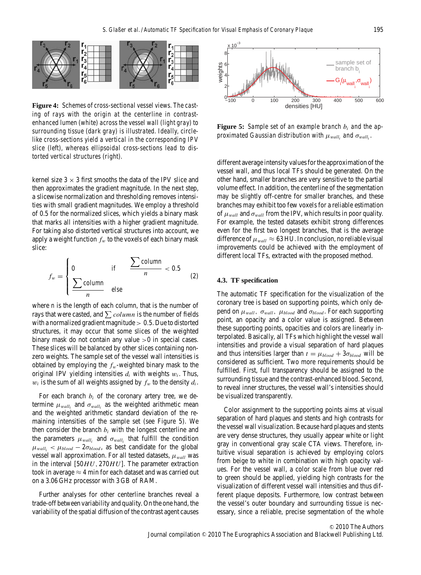

**Figure 4:** *Schemes of cross-sectional vessel views. The casting of rays with the origin at the centerline in contrastenhanced lumen (white) across the vessel wall (light gray) to surrounding tissue (dark gray) is illustrated. Ideally, circlelike cross-sections yield a vertical in the corresponding IPV slice (left), whereas ellipsoidal cross-sections lead to distorted vertical structures (right).*

kernel size  $3 \times 3$  first smooths the data of the IPV slice and then approximates the gradient magnitude. In the next step, a slicewise normalization and thresholding removes intensities with small gradient magnitudes. We employ a threshold of 0.5 for the normalized slices, which yields a binary mask that marks all intensities with a higher gradient magnitude. For taking also distorted vertical structures into account, we apply a weight function  $f_w$  to the voxels of each binary mask slice:

$$
f_w = \begin{cases} 0 & \text{if} & \frac{\sum column}{n} < 0.5\\ \frac{\sum column}{n} & \text{else} \end{cases}
$$
(2)

where *n* is the length of each column, that is the number of rays that were casted, and  $\sum$  *column* is the number of fields with a normalized gradient magnitude*>* 0*.*5. Due to distorted structures, it may occur that some slices of the weighted binary mask do not contain any value *>*0 in special cases. These slices will be balanced by other slices containing nonzero weights. The sample set of the vessel wall intensities is obtained by employing the  $f_w$ -weighted binary mask to the original IPV yielding intensities *di* with weights *wi*. Thus,  $w_i$  is the sum of all weights assigned by  $f_w$  to the density  $d_i$ .

For each branch  $b_i$  of the coronary artery tree, we determine  $\mu_{wall_i}$  and  $\sigma_{wall_i}$  as the weighted arithmetic mean and the weighted arithmetic standard deviation of the remaining intensities of the sample set (see Figure 5). We then consider the branch  $b_i$  with the longest centerline and the parameters  $\mu_{wall_i}$  and  $\sigma_{wall_i}$  that fulfill the condition  $\mu_{wall_i} < \mu_{blood} - 2\sigma_{blood}$ , as best candidate for the global vessel wall approximation. For all tested datasets, *μwall* was in the interval [50*HU,* 270*HU*]. The parameter extraction took in average  $\approx$  4 min for each dataset and was carried out on a 3.06 GHz processor with 3 GB of RAM.

Further analyses for other centerline branches reveal a trade-off between variability and quality. On the one hand, the variability of the spatial diffusion of the contrast agent causes



**Figure 5:** *Sample set of an example branch bi and the approximated Gaussian distribution with*  $\mu_{wall}$  *and*  $\sigma_{wall}$ *.* 

different average intensity values for the approximation of the vessel wall, and thus local TFs should be generated. On the other hand, smaller branches are very sensitive to the partial volume effect. In addition, the centerline of the segmentation may be slightly off-centre for smaller branches, and these branches may exhibit too few voxels for a reliable estimation of  $\mu_{wall}$  and  $\sigma_{wall}$  from the IPV, which results in poor quality. For example, the tested datasets exhibit strong differences even for the first two longest branches, that is the average difference of  $\mu_{wall} \approx 63 \text{ HU}$ . In conclusion, no reliable visual improvements could be achieved with the employment of different local TFs, extracted with the proposed method.

## **4.3. TF specification**

The automatic TF specification for the visualization of the coronary tree is based on supporting points, which only depend on  $\mu_{wall}$ ,  $\sigma_{wall}$ ,  $\mu_{blood}$  and  $\sigma_{blood}$ . For each supporting point, an opacity and a color value is assigned. Between these supporting points, opacities and colors are linearly interpolated. Basically, all TFs which highlight the vessel wall intensities and provide a visual separation of hard plaques and thus intensities larger than  $t = \mu_{blood} + 3\sigma_{blood}$  will be considered as sufficient. Two more requirements should be fulfilled. First, full transparency should be assigned to the surrounding tissue and the contrast-enhanced blood. Second, to reveal inner structures, the vessel wall's intensities should be visualized transparently.

Color assignment to the supporting points aims at visual separation of hard plaques and stents and high contrasts for the vessel wall visualization. Because hard plaques and stents are very dense structures, they usually appear white or light gray in conventional gray scale CTA views. Therefore, intuitive visual separation is achieved by employing colors from beige to white in combination with high opacity values. For the vessel wall, a color scale from blue over red to green should be applied, yielding high contrasts for the visualization of different vessel wall intensities and thus different plaque deposits. Furthermore, low contrast between the vessel's outer boundary and surrounding tissue is necessary, since a reliable, precise segmentation of the whole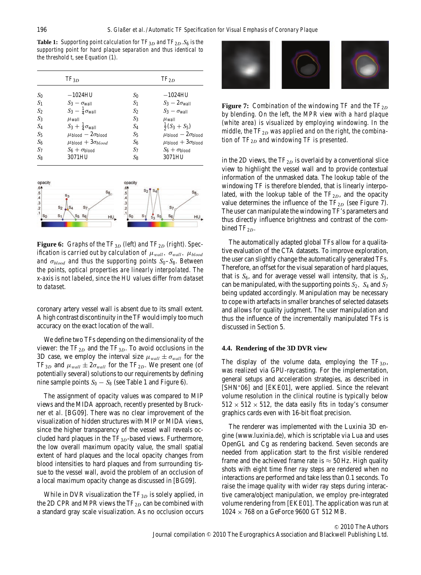**Table 1:** *Supporting point calculation for TF*3*<sup>D</sup> and TF*2*D.S*<sup>6</sup> *is the supporting point for hard plaque separation and thus identical to the threshold t, see Equation (1).*

| $TF_{3D}$      |                                  | $TF_{2D}$      |                                 |
|----------------|----------------------------------|----------------|---------------------------------|
| $S_0$          | $-1024HU$                        | $S_0$          | $-1024HU$                       |
| S <sub>1</sub> | $S_3 - \sigma_{wall}$            | S <sub>1</sub> | $S_3 - 2\sigma_{wall}$          |
| $S_2$          | $S_3 - \frac{1}{4}\sigma_{wall}$ | $S_2$          | $S_3 - \sigma_{wall}$           |
| $S_3$          | $\mu_{wall}$                     | $S_3$          | $\mu_{wall}$                    |
| $S_4$          | $S_3 + \frac{1}{4}\sigma_{wall}$ | $S_4$          | $\frac{1}{2}(S_3 + S_5)$        |
| $S_5$          | $\mu_{blood} - 2\sigma_{blood}$  | $S_5$          | $\mu_{blood} - 2\sigma_{blood}$ |
| $S_6$          | $\mu_{blood} + 3\sigma_{blood}$  | $S_6$          | $\mu_{blood} + 3\sigma_{blood}$ |
| $S_7$          | $S_6 + \sigma_{blood}$           | $S_7$          | $S_6 + \sigma_{blood}$          |
| $S_8$          | 3071HU                           | $S_8$          | 3071HU                          |



**Figure 6:** *Graphs of the TF*<sub>3*D*</sub> *(left)* and *TF*<sub>2*D*</sub> *(right). Specification is carried out by calculation of μwall, σwall, μblood and*  $σ$ <sub>blood</sub> and thus the supporting points  $S_0-S_8$ . Between *the points, optical properties are linearly interpolated. The x-axis is not labeled, since the HU values differ from dataset to dataset.*

coronary artery vessel wall is absent due to its small extent. A high contrast discontinuity in the TF would imply too much accuracy on the exact location of the wall.

We define two TFs depending on the dimensionality of the viewer: the  $TF_{2D}$  and the  $TF_{3D}$ . To avoid occlusions in the 3D case, we employ the interval size  $\mu_{wall} \pm \sigma_{wall}$  for the  $TF_{3D}$  and  $\mu_{wall} \pm 2\sigma_{wall}$  for the  $TF_{2D}$ . We present one (of potentially several) solutions to our requirements by defining nine sample points  $S_0 - S_8$  (see Table 1 and Figure 6).

The assignment of opacity values was compared to MIP views and the MIDA approach, recently presented by Bruckner *et al.* [BG09]. There was no clear improvement of the visualization of hidden structures with MIP or MIDA views, since the higher transparency of the vessel wall reveals occluded hard plaques in the *TF*<sup>3</sup>*D*-based views. Furthermore, the low overall maximum opacity value, the small spatial extent of hard plaques and the local opacity changes from blood intensities to hard plaques and from surrounding tissue to the vessel wall, avoid the problem of an occlusion of a local maximum opacity change as discussed in [BG09].

While in DVR visualization the  $TF_{3D}$  is solely applied, in the 2D CPR and MPR views the  $TF_{2D}$  can be combined with a standard gray scale visualization. As no occlusion occurs



**Figure 7:** *Combination of the windowing TF and the TF*<sub>2*D*</sub> *by blending. On the left, the MPR view with a hard plaque (white area) is visualized by employing windowing. In the middle, the TF*<sup>2</sup>*<sup>D</sup> was applied and on the right, the combination of TF*<sup>2</sup>*<sup>D</sup> and windowing TF is presented.*

in the 2D views, the  $TF_{2D}$  is overlaid by a conventional slice view to highlight the vessel wall and to provide contextual information of the unmasked data. The lookup table of the windowing TF is therefore blended, that is linearly interpolated, with the lookup table of the  $TF_{2D}$ , and the opacity value determines the influence of the  $TF_{2D}$  (see Figure 7). The user can manipulate the windowing TF's parameters and thus directly influence brightness and contrast of the combined  $TF_{2D}$ .

The automatically adapted global TFs allow for a qualitative evaluation of the CTA datasets. To improve exploration, the user can slightly change the automatically generated TFs. Therefore, an offset for the visual separation of hard plaques, that is  $S_6$ , and for average vessel wall intensity, that is  $S_3$ , can be manipulated, with the supporting points  $S_2$ ,  $S_4$  and  $S_7$ being updated accordingly. Manipulation may be necessary to cope with artefacts in smaller branches of selected datasets and allows for quality judgment. The user manipulation and thus the influence of the incrementally manipulated TFs is discussed in Section 5.

#### **4.4. Rendering of the 3D DVR view**

The display of the volume data, employing the *TF*<sup>3</sup>*D*, was realized via GPU-raycasting. For the implementation, general setups and acceleration strategies, as described in [SHN\*06] and [EKE01], were applied. Since the relevant volume resolution in the clinical routine is typically below  $512 \times 512 \times 512$ , the data easily fits in today's consumer graphics cards even with 16-bit float precision.

The renderer was implemented with the Luxinia 3D engine (www.luxinia.de), which is scriptable via Lua and uses OpenGL and Cg as rendering backend. Seven seconds are needed from application start to the first visible rendered frame and the achieved frame rate is  $\approx$  50 Hz. High quality shots with eight time finer ray steps are rendered when no interactions are performed and take less than 0.1 seconds. To raise the image quality with wider ray steps during interactive camera/object manipulation, we employ pre-integrated volume rendering from [EKE01]. The application was run at 1024 × 768 on a GeForce 9600 GT 512 MB.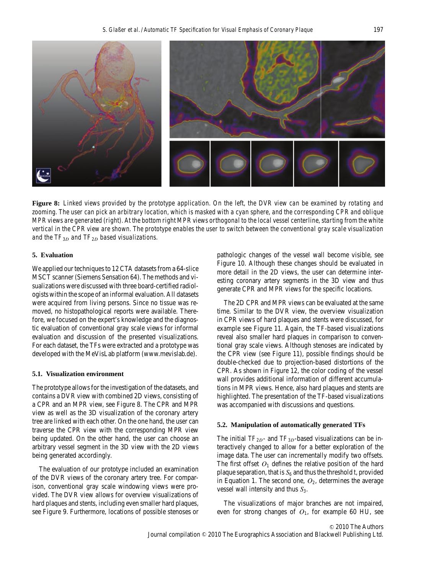

**Figure 8:** *Linked views provided by the prototype application. On the left, the DVR view can be examined by rotating and zooming. The user can pick an arbitrary location, which is masked with a cyan sphere, and the corresponding CPR and oblique MPR views are generated (right). At the bottom right MPR views orthogonal to the local vessel centerline, starting from the white vertical in the CPR view are shown. The prototype enables the user to switch between the conventional gray scale visualization and the TF*<sup>3</sup>*<sup>D</sup> and TF*<sup>2</sup>*<sup>D</sup> based visualizations.*

# **5. Evaluation**

We applied our techniques to 12 CTA datasets from a 64-slice MSCT scanner (Siemens Sensation 64). The methods and visualizations were discussed with three board-certified radiologists within the scope of an informal evaluation. All datasets were acquired from living persons. Since no tissue was removed, no histopathological reports were available. Therefore, we focused on the expert's knowledge and the diagnostic evaluation of conventional gray scale views for informal evaluation and discussion of the presented visualizations. For each dataset, the TFs were extracted and a prototype was developed with the MeVisLab platform (www.mevislab.de).

#### **5.1. Visualization environment**

The prototype allows for the investigation of the datasets, and contains a DVR view with combined 2D views, consisting of a CPR and an MPR view, see Figure 8. The CPR and MPR view as well as the 3D visualization of the coronary artery tree are linked with each other. On the one hand, the user can traverse the CPR view with the corresponding MPR view being updated. On the other hand, the user can choose an arbitrary vessel segment in the 3D view with the 2D views being generated accordingly.

The evaluation of our prototype included an examination of the DVR views of the coronary artery tree. For comparison, conventional gray scale windowing views were provided. The DVR view allows for overview visualizations of hard plaques and stents, including even smaller hard plaques, see Figure 9. Furthermore, locations of possible stenoses or pathologic changes of the vessel wall become visible, see Figure 10. Although these changes should be evaluated in more detail in the 2D views, the user can determine interesting coronary artery segments in the 3D view and thus generate CPR and MPR views for the specific locations.

The 2D CPR and MPR views can be evaluated at the same time. Similar to the DVR view, the overview visualization in CPR views of hard plaques and stents were discussed, for example see Figure 11. Again, the TF-based visualizations reveal also smaller hard plaques in comparison to conventional gray scale views. Although stenoses are indicated by the CPR view (see Figure 11), possible findings should be double-checked due to projection-based distortions of the CPR. As shown in Figure 12, the color coding of the vessel wall provides additional information of different accumulations in MPR views. Hence, also hard plaques and stents are highlighted. The presentation of the TF-based visualizations was accompanied with discussions and questions.

#### **5.2. Manipulation of automatically generated TFs**

The initial  $TF_{2D}$ - and  $TF_{3D}$ -based visualizations can be interactively changed to allow for a better exploration of the image data. The user can incrementally modify two offsets. The first offset  $O_1$  defines the relative position of the hard plaque separation, that is  $S_6$  and thus the threshold *t*, provided in Equation 1. The second one,  $O_2$ , determines the average vessel wall intensity and thus *S*3.

The visualizations of major branches are not impaired, even for strong changes of  $O<sub>1</sub>$ , for example 60 HU, see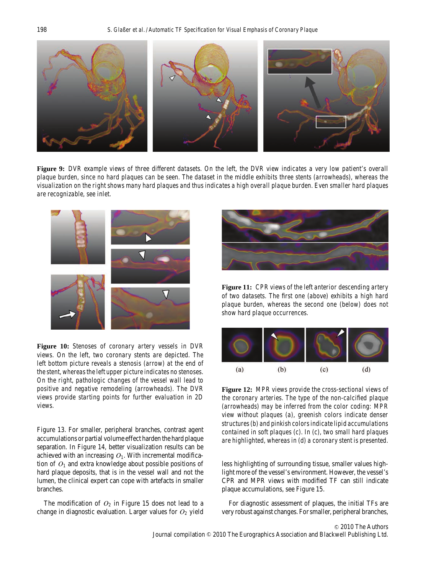

**Figure 9:** *DVR example views of three different datasets. On the left, the DVR view indicates a very low patient's overall plaque burden, since no hard plaques can be seen. The dataset in the middle exhibits three stents (arrowheads), whereas the visualization on the right shows many hard plaques and thus indicates a high overall plaque burden. Even smaller hard plaques are recognizable, see inlet.*



**Figure 10:** *Stenoses of coronary artery vessels in DVR views. On the left, two coronary stents are depicted. The left bottom picture reveals a stenosis (arrow) at the end of the stent, whereas the left upper picture indicates no stenoses. On the right, pathologic changes of the vessel wall lead to positive and negative remodeling (arrowheads). The DVR views provide starting points for further evaluation in 2D views.*

Figure 13. For smaller, peripheral branches, contrast agent accumulations or partial volume effect harden the hard plaque separation. In Figure 14, better visualization results can be achieved with an increasing  $O_1$ . With incremental modification of  $O_1$  and extra knowledge about possible positions of hard plaque deposits, that is in the vessel wall and not the lumen, the clinical expert can cope with artefacts in smaller branches.

The modification of  $O_2$  in Figure 15 does not lead to a change in diagnostic evaluation. Larger values for  $O_2$  yield



**Figure 11:** *CPR views of the left anterior descending artery of two datasets. The first one (above) exhibits a high hard plaque burden, whereas the second one (below) does not show hard plaque occurrences.*



**Figure 12:** *MPR views provide the cross-sectional views of the coronary arteries. The type of the non-calcified plaque (arrowheads) may be inferred from the color coding: MPR view without plaques (a), greenish colors indicate denser structures (b) and pinkish colors indicate lipid accumulations contained in soft plaques (c). In (c), two small hard plaques are highlighted, whereas in (d) a coronary stent is presented.*

less highlighting of surrounding tissue, smaller values highlight more of the vessel's environment. However, the vessel's CPR and MPR views with modified TF can still indicate plaque accumulations, see Figure 15.

For diagnostic assessment of plaques, the initial TFs are very robust against changes. For smaller, peripheral branches,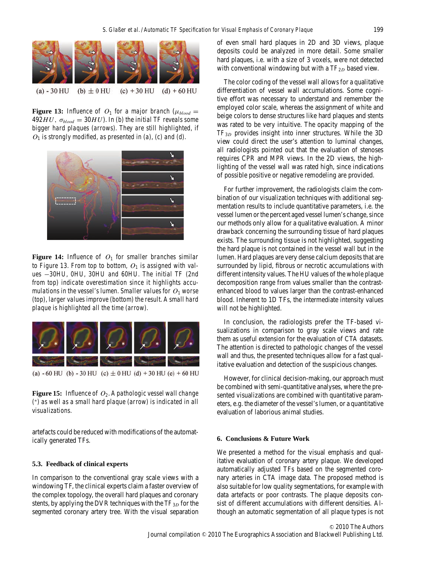

**Figure 13:** *Influence of*  $O_1$  *for a major branch* ( $\mu_{blood}$  =  $492HU$ ,  $\sigma_{blood} = 30HU$ . *In (b) the initial TF reveals some bigger hard plaques (arrows). They are still highlighted, if O*<sup>1</sup> *is strongly modified, as presented in (a), (c) and (d).*



**Figure 14:** *Influence of O*<sup>1</sup> *for smaller branches similar* to Figure 13. From top to bottom,  $O<sub>1</sub>$  is assigned with val*ues* −*30HU, 0HU, 30HU and 60HU. The initial TF (2nd from top) indicate overestimation since it highlights accumulations in the vessel's lumen. Smaller values for*  $O<sub>1</sub>$  *worse (top), larger values improve (bottom) the result. A small hard plaque is highlighted all the time (arrow).*



(a) - 60 HU (b) - 30 HU (c)  $\pm$  0 HU (d) + 30 HU (e) + 60 HU

**Figure 15:** *Influence of O*2. *A pathologic vessel wall change (* <sup>∗</sup>*) as well as a small hard plaque (arrow) is indicated in all visualizations.*

artefacts could be reduced with modifications of the automatically generated TFs.

## **5.3. Feedback of clinical experts**

In comparison to the conventional gray scale views with a windowing TF, the clinical experts claim a faster overview of the complex topology, the overall hard plaques and coronary stents, by applying the DVR techniques with the  $TF_{3D}$  for the segmented coronary artery tree. With the visual separation of even small hard plaques in 2D and 3D views, plaque deposits could be analyzed in more detail. Some smaller hard plaques, i.e. with a size of 3 voxels, were not detected with conventional windowing but with a  $TF_{2D}$  based view.

The color coding of the vessel wall allows for a qualitative differentiation of vessel wall accumulations. Some cognitive effort was necessary to understand and remember the employed color scale, whereas the assignment of white and beige colors to dense structures like hard plaques and stents was rated to be very intuitive. The opacity mapping of the *TF*<sup>3</sup>*<sup>D</sup>* provides insight into inner structures. While the 3D view could direct the user's attention to luminal changes, all radiologists pointed out that the evaluation of stenoses requires CPR and MPR views. In the 2D views, the highlighting of the vessel wall was rated high, since indications of possible positive or negative remodeling are provided.

For further improvement, the radiologists claim the combination of our visualization techniques with additional segmentation results to include quantitative parameters, i.e. the vessel lumen or the percent aged vessel lumen's change, since our methods only allow for a qualitative evaluation. A minor drawback concerning the surrounding tissue of hard plaques exists. The surrounding tissue is not highlighted, suggesting the hard plaque is not contained in the vessel wall but in the lumen. Hard plaques are very dense calcium deposits that are surrounded by lipid, fibrous or necrotic accumulations with different intensity values. The HU values of the whole plaque decomposition range from values smaller than the contrastenhanced blood to values larger than the contrast-enhanced blood. Inherent to 1D TFs, the intermediate intensity values will not be highlighted.

In conclusion, the radiologists prefer the TF-based visualizations in comparison to gray scale views and rate them as useful extension for the evaluation of CTA datasets. The attention is directed to pathologic changes of the vessel wall and thus, the presented techniques allow for a fast qualitative evaluation and detection of the suspicious changes.

However, for clinical decision-making, our approach must be combined with semi-quantitative analyses, where the presented visualizations are combined with quantitative parameters, e.g. the diameter of the vessel's lumen, or a quantitative evaluation of laborious animal studies.

#### **6. Conclusions & Future Work**

We presented a method for the visual emphasis and qualitative evaluation of coronary artery plaque. We developed automatically adjusted TFs based on the segmented coronary arteries in CTA image data. The proposed method is also suitable for low quality segmentations, for example with data artefacts or poor contrasts. The plaque deposits consist of different accumulations with different densities. Although an automatic segmentation of all plaque types is not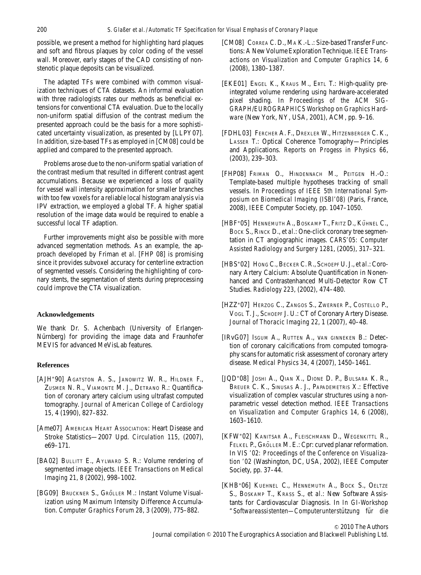possible, we present a method for highlighting hard plaques and soft and fibrous plaques by color coding of the vessel wall. Moreover, early stages of the CAD consisting of nonstenotic plaque deposits can be visualized.

The adapted TFs were combined with common visualization techniques of CTA datasets. An informal evaluation with three radiologists rates our methods as beneficial extensions for conventional CTA evaluation. Due to the locally non-uniform spatial diffusion of the contrast medium the presented approach could be the basis for a more sophisticated uncertainty visualization, as presented by [LLPY07]. In addition, size-based TFs as employed in [CM08] could be applied and compared to the presented approach.

Problems arose due to the non-uniform spatial variation of the contrast medium that resulted in different contrast agent accumulations. Because we experienced a loss of quality for vessel wall intensity approximation for smaller branches with too few voxels for a reliable local histogram analysis via IPV extraction, we employed a global TF. A higher spatial resolution of the image data would be required to enable a successful local TF adaption.

Further improvements might also be possible with more advanced segmentation methods. As an example, the approach developed by Friman *et al.* [FHP 08] is promising since it provides subvoxel accuracy for centerline extraction of segmented vessels. Considering the highlighting of coronary stents, the segmentation of stents during preprocessing could improve the CTA visualization.

#### **Acknowledgements**

We thank Dr. S. Achenbach (University of Erlangen-Nürnberg) for providing the image data and Fraunhofer MEVIS for advanced MeVisLab features.

# **References**

- [AJH∗90] AGATSTON A. S., JANOWITZ W. R., HILDNER F., ZUSMER N. R., VIAMONTE M. J., DETRANO R.: Quantification of coronary artery calcium using ultrafast computed tomography. *Journal of American College of Cardiology 15*, 4 (1990), 827–832.
- [Ame07] AMERICAN HEART ASSOCIATION: Heart Disease and Stroke Statistics—2007 Upd. *Circulation 115*, (2007), e69–171.
- [BA02] BULLITT E., AYLWARD S. R.: Volume rendering of segmented image objects. *IEEE Transactions on Medical Imaging 21*, 8 (2002), 998–1002.
- [BG09] BRUCKNER S., GRÖLLER M.: Instant Volume Visualization using Maximum Intensity Difference Accumulation. *Computer Graphics Forum 28*, 3 (2009), 775–882.
- [CM08] CORREA C. D., MA K.-L.: Size-based Transfer Functions: A New Volume Exploration Technique.*IEEE Transactions on Visualization and Computer Graphics 14*, 6 (2008), 1380–1387.
- [EKE01] ENGEL K., KRAUS M., ERTL T.: High-quality preintegrated volume rendering using hardware-accelerated pixel shading. In *Proceedings of the ACM SIG-GRAPH/EUROGRAPHICS Workshop on Graphics Hardware* (New York, NY, USA, 2001), ACM, pp. 9–16.
- [FDHL03] FERCHER A. F., DREXLER W., HITZENBERGER C. K., LASSER T.: Optical Coherence Tomography—Principles and Applications. *Reports on Progess in Physics 66*, (2003), 239–303.
- [FHP08] FRIMAN O., HINDENNACH M., PEITGEN H.-O.: Template-based multiple hypotheses tracking of small vessels. In *Proceedings of IEEE 5th International Symposium on Biomedical Imaging (ISBl'08)* (Paris, France, 2008), IEEE Computer Society, pp. 1047–1050.
- [HBF<sup>\*</sup>05] HENNEMUTH A., BOSKAMP T., FRITZ D., KÜHNEL C., BOCK S., RINCK D., *et al.*: One-click coronary tree segmentation in CT angiographic images. *CARS'05: Computer Assisted Radiology and Surgery 1281*, (2005), 317–321.
- [HBS∗02] HONG C., BECKER C. R., SCHOEPF U. J., *et al.*: Coronary Artery Calcium: Absolute Quantification in Nonenhanced and Contrastenhanced Multi-Detector Row CT Studies. *Radiology 223*, (2002), 474–480.
- [HZZ∗07] HERZOG C., ZANGOS S., ZWERNER P., COSTELLO P., VOGL T. J., SCHOEPF J. U.: CT of Coronary Artery Disease. *Journal of Thoracic Imaging 22*, 1 (2007), 40–48.
- [IRvG07] ISGUM A., RUTTEN A., vAN GINNEKEN B.: Detection of coronary calcifications from computed tomography scans for automatic risk assessment of coronary artery disease. *Medical Physics 34*, 4 (2007), 1450–1461.
- [JQD∗08] JOSHI A., QIAN X., DIONE D. P., BULSARA K. R., BREUER C. K., SINUSAS A. J., PAPADEMETRIS X.: Effective visualization of complex vascular structures using a nonparametric vessel detection method. *IEEE Transactions on Visualization and Computer Graphics 14*, 6 (2008), 1603–1610.
- [KFW∗02] KANITSAR A., FLEISCHMANN D., WEGENKITTL R., FELKEL P., GRÖLLER M. E.: Cpr: curved planar reformation. In *VIS '02: Proceedings of the Conference on Visualization '02* (Washington, DC, USA, 2002), IEEE Computer Society, pp. 37–44.
- [KHB∗06] KUEHNEL C., HENNEMUTH A., BOCK S., OELTZE S., BOSKAMP T., KRASS S., *et al.*: New Software Assistants for Cardiovascular Diagnosis. In *In GI-Workshop "Softwareassistenten—Computerunterstutzung f ¨ ur die ¨*